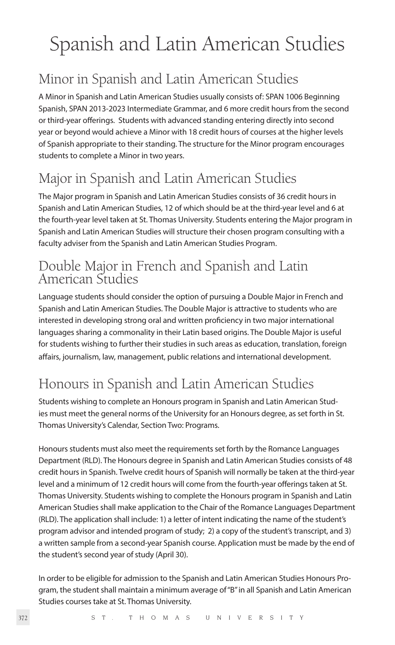# Spanish and Latin American Studies

### Minor in Spanish and Latin American Studies

A Minor in Spanish and Latin American Studies usually consists of: SPAN 1006 Beginning Spanish, SPAN 2013-2023 Intermediate Grammar, and 6 more credit hours from the second or third-year offerings. Students with advanced standing entering directly into second year or beyond would achieve a Minor with 18 credit hours of courses at the higher levels of Spanish appropriate to their standing. The structure for the Minor program encourages students to complete a Minor in two years.

### Major in Spanish and Latin American Studies

The Major program in Spanish and Latin American Studies consists of 36 credit hours in Spanish and Latin American Studies, 12 of which should be at the third-year level and 6 at the fourth-year level taken at St. Thomas University. Students entering the Major program in Spanish and Latin American Studies will structure their chosen program consulting with a faculty adviser from the Spanish and Latin American Studies Program.

### Double Major in French and Spanish and Latin American Studies

Language students should consider the option of pursuing a Double Major in French and Spanish and Latin American Studies. The Double Major is attractive to students who are interested in developing strong oral and written proficiency in two major international languages sharing a commonality in their Latin based origins. The Double Major is useful for students wishing to further their studies in such areas as education, translation, foreign affairs, journalism, law, management, public relations and international development.

### Honours in Spanish and Latin American Studies

Students wishing to complete an Honours program in Spanish and Latin American Studies must meet the general norms of the University for an Honours degree, as set forth in St. Thomas University's Calendar, Section Two: Programs.

Honours students must also meet the requirements set forth by the Romance Languages Department (RLD). The Honours degree in Spanish and Latin American Studies consists of 48 credit hours in Spanish. Twelve credit hours of Spanish will normally be taken at the third-year level and a minimum of 12 credit hours will come from the fourth-year offerings taken at St. Thomas University. Students wishing to complete the Honours program in Spanish and Latin American Studies shall make application to the Chair of the Romance Languages Department (RLD). The application shall include: 1) a letter of intent indicating the name of the student's program advisor and intended program of study; 2) a copy of the student's transcript, and 3) a written sample from a second-year Spanish course. Application must be made by the end of the student's second year of study (April 30).

In order to be eligible for admission to the Spanish and Latin American Studies Honours Program, the student shall maintain a minimum average of "B" in all Spanish and Latin American Studies courses take at St. Thomas University.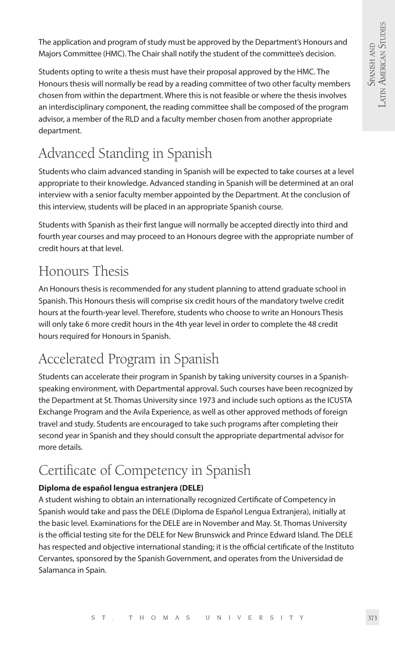The application and program of study must be approved by the Department's Honours and Majors Committee (HMC). The Chair shall notify the student of the committee's decision.

Students opting to write a thesis must have their proposal approved by the HMC. The Honours thesis will normally be read by a reading committee of two other faculty members chosen from within the department. Where this is not feasible or where the thesis involves an interdisciplinary component, the reading committee shall be composed of the program advisor, a member of the RLD and a faculty member chosen from another appropriate department.

## Advanced Standing in Spanish

Students who claim advanced standing in Spanish will be expected to take courses at a level appropriate to their knowledge. Advanced standing in Spanish will be determined at an oral interview with a senior faculty member appointed by the Department. At the conclusion of this interview, students will be placed in an appropriate Spanish course.

Students with Spanish as their first langue will normally be accepted directly into third and fourth year courses and may proceed to an Honours degree with the appropriate number of credit hours at that level.

### Honours Thesis

An Honours thesis is recommended for any student planning to attend graduate school in Spanish. This Honours thesis will comprise six credit hours of the mandatory twelve credit hours at the fourth-year level. Therefore, students who choose to write an Honours Thesis will only take 6 more credit hours in the 4th year level in order to complete the 48 credit hours required for Honours in Spanish.

### Accelerated Program in Spanish

Students can accelerate their program in Spanish by taking university courses in a Spanishspeaking environment, with Departmental approval. Such courses have been recognized by the Department at St. Thomas University since 1973 and include such options as the ICUSTA Exchange Program and the Avila Experience, as well as other approved methods of foreign travel and study. Students are encouraged to take such programs after completing their second year in Spanish and they should consult the appropriate departmental advisor for more details.

### Certificate of Competency in Spanish

#### **Diploma de español lengua estranjera (DELE)**

A student wishing to obtain an internationally recognized Certificate of Competency in Spanish would take and pass the DELE (Diploma de Español Lengua Extranjera), initially at the basic level. Examinations for the DELE are in November and May. St. Thomas University is the official testing site for the DELE for New Brunswick and Prince Edward Island. The DELE has respected and objective international standing; it is the official certificate of the Instituto Cervantes, sponsored by the Spanish Government, and operates from the Universidad de Salamanca in Spain.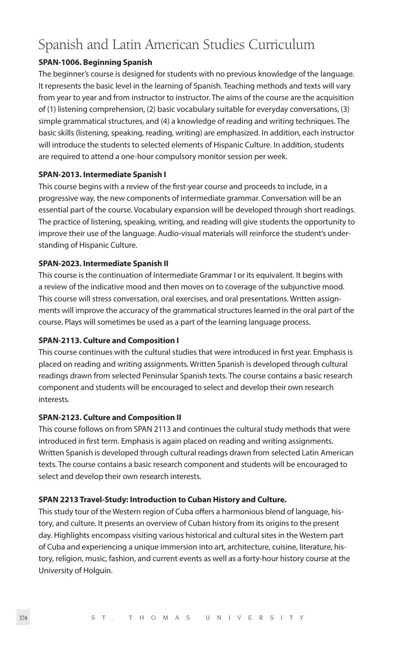### Spanish and Latin American Studies Curriculum

#### **SPAN-1006. Beginning Spanish**

The beginner's course is designed for students with no previous knowledge of the language. It represents the basic level in the learning of Spanish. Teaching methods and texts will vary from year to year and from instructor to instructor. The aims of the course are the acquisition of (1) listening comprehension, (2) basic vocabulary suitable for everyday conversations, (3) simple grammatical structures, and (4) a knowledge of reading and writing techniques. The basic skills (listening, speaking, reading, writing) are emphasized. In addition, each instructor will introduce the students to selected elements of Hispanic Culture. In addition, students are required to attend a one-hour compulsory monitor session per week.

#### **SPAN-2013. Intermediate Spanish I**

This course begins with a review of the first-year course and proceeds to include, in a progressive way, the new components of intermediate grammar. Conversation will be an essential part of the course. Vocabulary expansion will be developed through short readings. The practice of listening, speaking, writing, and reading will give students the opportunity to improve their use of the language. Audio-visual materials will reinforce the student's understanding of Hispanic Culture.

#### **SPAN-2023. Intermediate Spanish II**

This course is the continuation of Intermediate Grammar I or its equivalent. It begins with a review of the indicative mood and then moves on to coverage of the subjunctive mood. This course will stress conversation, oral exercises, and oral presentations. Written assignments will improve the accuracy of the grammatical structures learned in the oral part of the course. Plays will sometimes be used as a part of the learning language process.

#### **SPAN-2113. Culture and Composition I**

This course continues with the cultural studies that were introduced in first year. Emphasis is placed on reading and writing assignments. Written Spanish is developed through cultural readings drawn from selected Peninsular Spanish texts. The course contains a basic research component and students will be encouraged to select and develop their own research interests.

#### **SPAN-2123. Culture and Composition II**

This course follows on from SPAN 2113 and continues the cultural study methods that were introduced in first term. Emphasis is again placed on reading and writing assignments. Written Spanish is developed through cultural readings drawn from selected Latin American texts. The course contains a basic research component and students will be encouraged to select and develop their own research interests.

#### **SPAN 2213 Travel-Study: Introduction to Cuban History and Culture.**

This study tour of the Western region of Cuba offers a harmonious blend of language, history, and culture. It presents an overview of Cuban history from its origins to the present day. Highlights encompass visiting various historical and cultural sites in the Western part of Cuba and experiencing a unique immersion into art, architecture, cuisine, literature, history, religion, music, fashion, and current events as well as a forty-hour history course at the University of Holguín.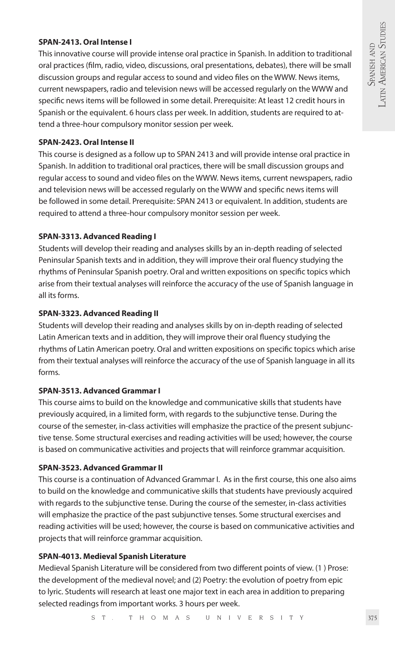#### **SPAN-2413. Oral Intense I**

This innovative course will provide intense oral practice in Spanish. In addition to traditional oral practices (film, radio, video, discussions, oral presentations, debates), there will be small discussion groups and regular access to sound and video files on the WWW. News items, current newspapers, radio and television news will be accessed regularly on the WWW and specific news items will be followed in some detail. Prerequisite: At least 12 credit hours in Spanish or the equivalent. 6 hours class per week. In addition, students are required to attend a three-hour compulsory monitor session per week.

#### **SPAN-2423. Oral Intense II**

This course is designed as a follow up to SPAN 2413 and will provide intense oral practice in Spanish. In addition to traditional oral practices, there will be small discussion groups and regular access to sound and video files on the WWW. News items, current newspapers, radio and television news will be accessed regularly on the WWW and specific news items will be followed in some detail. Prerequisite: SPAN 2413 or equivalent. In addition, students are required to attend a three-hour compulsory monitor session per week.

#### **SPAN-3313. Advanced Reading I**

Students will develop their reading and analyses skills by an in-depth reading of selected Peninsular Spanish texts and in addition, they will improve their oral fluency studying the rhythms of Peninsular Spanish poetry. Oral and written expositions on specific topics which arise from their textual analyses will reinforce the accuracy of the use of Spanish language in all its forms.

#### **SPAN-3323. Advanced Reading II**

Students will develop their reading and analyses skills by on in-depth reading of selected Latin American texts and in addition, they will improve their oral fluency studying the rhythms of Latin American poetry. Oral and written expositions on specific topics which arise from their textual analyses will reinforce the accuracy of the use of Spanish language in all its forms.

#### **SPAN-3513. Advanced Grammar I**

This course aims to build on the knowledge and communicative skills that students have previously acquired, in a limited form, with regards to the subjunctive tense. During the course of the semester, in-class activities will emphasize the practice of the present subjunctive tense. Some structural exercises and reading activities will be used; however, the course is based on communicative activities and projects that will reinforce grammar acquisition.

#### **SPAN-3523. Advanced Grammar II**

This course is a continuation of Advanced Grammar I. As in the first course, this one also aims to build on the knowledge and communicative skills that students have previously acquired with regards to the subjunctive tense. During the course of the semester, in-class activities will emphasize the practice of the past subjunctive tenses. Some structural exercises and reading activities will be used; however, the course is based on communicative activities and projects that will reinforce grammar acquisition.

#### **SPAN-4013. Medieval Spanish Literature**

Medieval Spanish Literature will be considered from two different points of view. (1 ) Prose: the development of the medieval novel; and (2) Poetry: the evolution of poetry from epic to lyric. Students will research at least one major text in each area in addition to preparing selected readings from important works. 3 hours per week.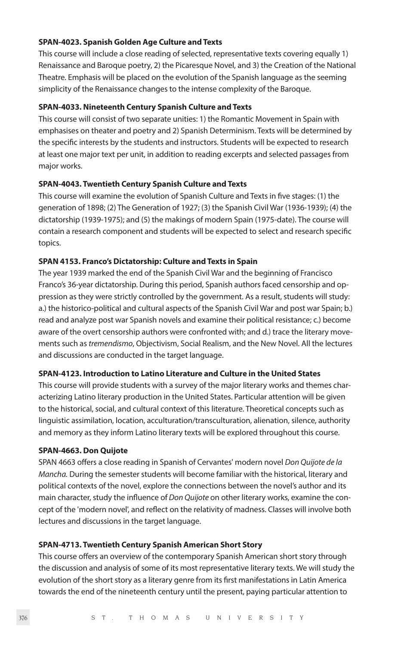#### **SPAN-4023. Spanish Golden Age Culture and Texts**

This course will include a close reading of selected, representative texts covering equally 1) Renaissance and Baroque poetry, 2) the Picaresque Novel, and 3) the Creation of the National Theatre. Emphasis will be placed on the evolution of the Spanish language as the seeming simplicity of the Renaissance changes to the intense complexity of the Baroque.

#### **SPAN-4033. Nineteenth Century Spanish Culture and Texts**

This course will consist of two separate unities: 1) the Romantic Movement in Spain with emphasises on theater and poetry and 2) Spanish Determinism. Texts will be determined by the specific interests by the students and instructors. Students will be expected to research at least one major text per unit, in addition to reading excerpts and selected passages from major works.

#### **SPAN-4043. Twentieth Century Spanish Culture and Texts**

This course will examine the evolution of Spanish Culture and Texts in five stages: (1) the generation of 1898; (2) The Generation of 1927; (3) the Spanish Civil War (1936-1939); (4) the dictatorship (1939-1975); and (5) the makings of modern Spain (1975-date). The course will contain a research component and students will be expected to select and research specific topics.

#### **SPAN 4153. Franco's Dictatorship: Culture and Texts in Spain**

The year 1939 marked the end of the Spanish Civil War and the beginning of Francisco Franco's 36-year dictatorship. During this period, Spanish authors faced censorship and oppression as they were strictly controlled by the government. As a result, students will study: a.) the historico-political and cultural aspects of the Spanish Civil War and post war Spain; b.) read and analyze post war Spanish novels and examine their political resistance; c.) become aware of the overt censorship authors were confronted with; and d.) trace the literary movements such as *tremendismo*, Objectivism, Social Realism, and the New Novel. All the lectures and discussions are conducted in the target language.

#### **SPAN-4123. Introduction to Latino Literature and Culture in the United States**

This course will provide students with a survey of the major literary works and themes characterizing Latino literary production in the United States. Particular attention will be given to the historical, social, and cultural context of this literature. Theoretical concepts such as linguistic assimilation, location, acculturation/transculturation, alienation, silence, authority and memory as they inform Latino literary texts will be explored throughout this course.

#### **SPAN-4663. Don Quijote**

SPAN 4663 offers a close reading in Spanish of Cervantes' modern novel *Don Quijote de la Mancha.* During the semester students will become familiar with the historical, literary and political contexts of the novel, explore the connections between the novel's author and its main character, study the influence of *Don Quijote* on other literary works, examine the concept of the 'modern novel', and reflect on the relativity of madness. Classes will involve both lectures and discussions in the target language.

#### **SPAN-4713. Twentieth Century Spanish American Short Story**

This course offers an overview of the contemporary Spanish American short story through the discussion and analysis of some of its most representative literary texts. We will study the evolution of the short story as a literary genre from its first manifestations in Latin America towards the end of the nineteenth century until the present, paying particular attention to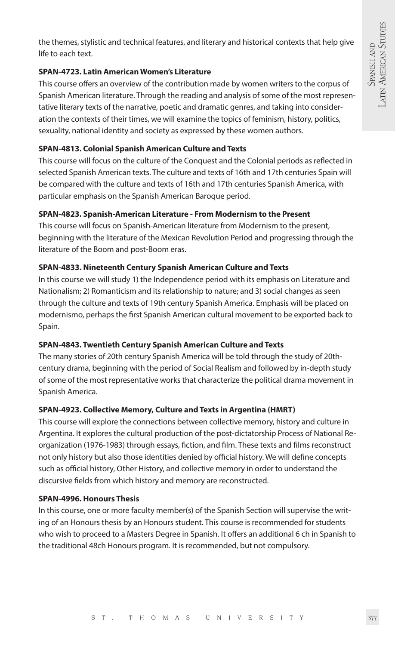the themes, stylistic and technical features, and literary and historical contexts that help give life to each text.

#### **SPAN-4723. Latin American Women's Literature**

This course offers an overview of the contribution made by women writers to the corpus of Spanish American literature. Through the reading and analysis of some of the most representative literary texts of the narrative, poetic and dramatic genres, and taking into consideration the contexts of their times, we will examine the topics of feminism, history, politics, sexuality, national identity and society as expressed by these women authors.

#### **SPAN-4813. Colonial Spanish American Culture and Texts**

This course will focus on the culture of the Conquest and the Colonial periods as reflected in selected Spanish American texts. The culture and texts of 16th and 17th centuries Spain will be compared with the culture and texts of 16th and 17th centuries Spanish America, with particular emphasis on the Spanish American Baroque period.

#### **SPAN-4823. Spanish-American Literature - From Modernism to the Present**

This course will focus on Spanish-American literature from Modernism to the present, beginning with the literature of the Mexican Revolution Period and progressing through the literature of the Boom and post-Boom eras.

#### **SPAN-4833. Nineteenth Century Spanish American Culture and Texts**

In this course we will study 1) the Independence period with its emphasis on Literature and Nationalism; 2) Romanticism and its relationship to nature; and 3) social changes as seen through the culture and texts of 19th century Spanish America. Emphasis will be placed on modernismo, perhaps the first Spanish American cultural movement to be exported back to Spain.

#### **SPAN-4843. Twentieth Century Spanish American Culture and Texts**

The many stories of 20th century Spanish America will be told through the study of 20thcentury drama, beginning with the period of Social Realism and followed by in-depth study of some of the most representative works that characterize the political drama movement in Spanish America.

#### **SPAN-4923. Collective Memory, Culture and Texts in Argentina (HMRT)**

This course will explore the connections between collective memory, history and culture in Argentina. It explores the cultural production of the post-dictatorship Process of National Reorganization (1976-1983) through essays, fiction, and film. These texts and films reconstruct not only history but also those identities denied by official history. We will define concepts such as official history, Other History, and collective memory in order to understand the discursive fields from which history and memory are reconstructed.

#### **SPAN-4996. Honours Thesis**

In this course, one or more faculty member(s) of the Spanish Section will supervise the writing of an Honours thesis by an Honours student. This course is recommended for students who wish to proceed to a Masters Degree in Spanish. It offers an additional 6 ch in Spanish to the traditional 48ch Honours program. It is recommended, but not compulsory.